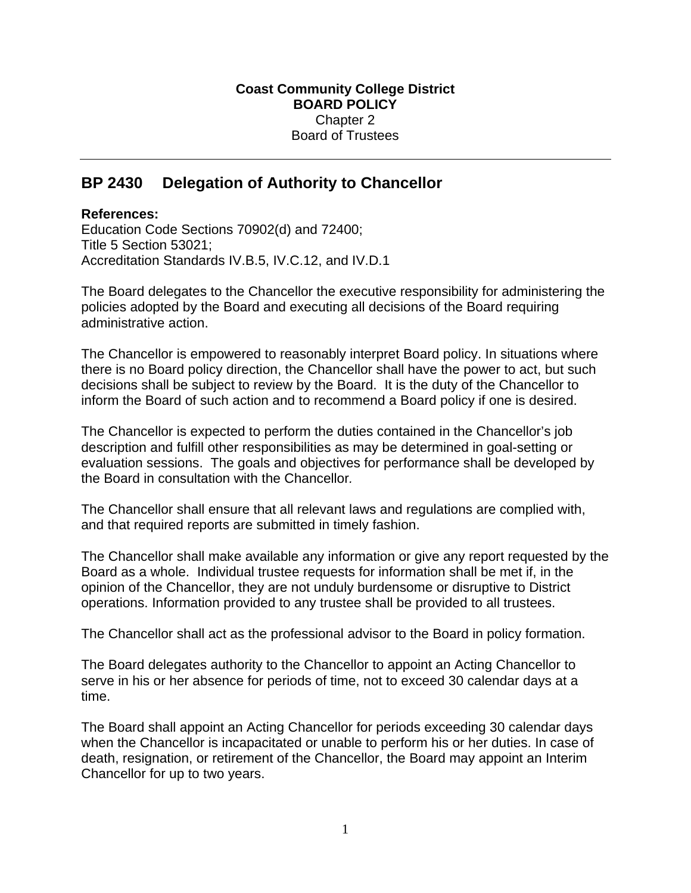## **BP 2430 Delegation of Authority to Chancellor**

## **References:**

Education Code Sections 70902(d) and 72400; Title 5 Section 53021; Accreditation Standards IV.B.5, IV.C.12, and IV.D.1

The Board delegates to the Chancellor the executive responsibility for administering the policies adopted by the Board and executing all decisions of the Board requiring administrative action.

The Chancellor is empowered to reasonably interpret Board policy. In situations where there is no Board policy direction, the Chancellor shall have the power to act, but such decisions shall be subject to review by the Board. It is the duty of the Chancellor to inform the Board of such action and to recommend a Board policy if one is desired.

The Chancellor is expected to perform the duties contained in the Chancellor's job description and fulfill other responsibilities as may be determined in goal-setting or evaluation sessions. The goals and objectives for performance shall be developed by the Board in consultation with the Chancellor*.*

The Chancellor shall ensure that all relevant laws and regulations are complied with, and that required reports are submitted in timely fashion.

The Chancellor shall make available any information or give any report requested by the Board as a whole. Individual trustee requests for information shall be met if, in the opinion of the Chancellor, they are not unduly burdensome or disruptive to District operations. Information provided to any trustee shall be provided to all trustees.

The Chancellor shall act as the professional advisor to the Board in policy formation.

The Board delegates authority to the Chancellor to appoint an Acting Chancellor to serve in his or her absence for periods of time, not to exceed 30 calendar days at a time.

The Board shall appoint an Acting Chancellor for periods exceeding 30 calendar days when the Chancellor is incapacitated or unable to perform his or her duties. In case of death, resignation, or retirement of the Chancellor, the Board may appoint an Interim Chancellor for up to two years.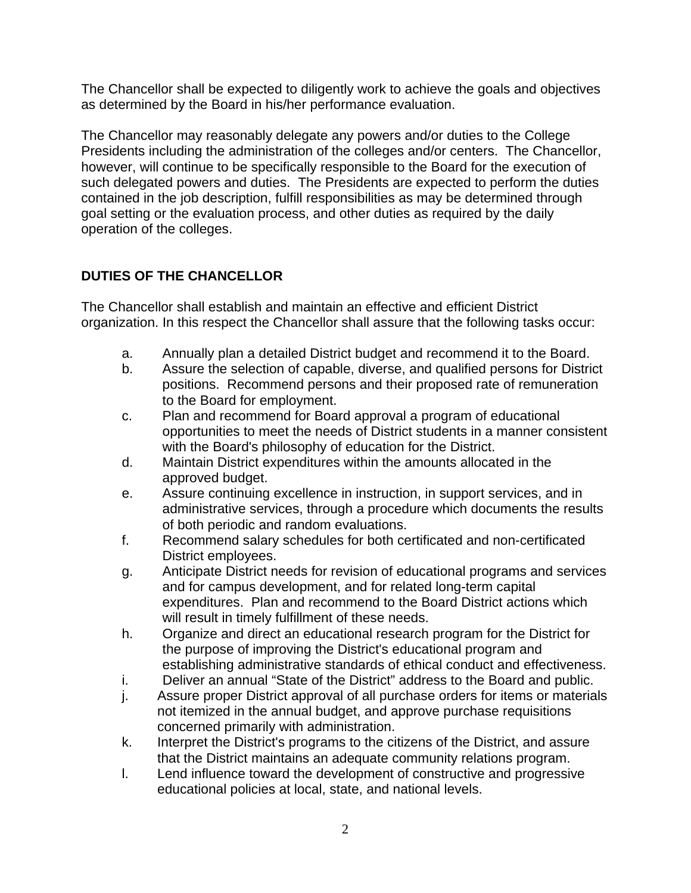The Chancellor shall be expected to diligently work to achieve the goals and objectives as determined by the Board in his/her performance evaluation.

The Chancellor may reasonably delegate any powers and/or duties to the College Presidents including the administration of the colleges and/or centers. The Chancellor, however, will continue to be specifically responsible to the Board for the execution of such delegated powers and duties. The Presidents are expected to perform the duties contained in the job description, fulfill responsibilities as may be determined through goal setting or the evaluation process, and other duties as required by the daily operation of the colleges.

## **DUTIES OF THE CHANCELLOR**

The Chancellor shall establish and maintain an effective and efficient District organization. In this respect the Chancellor shall assure that the following tasks occur:

- a. Annually plan a detailed District budget and recommend it to the Board.
- b. Assure the selection of capable, diverse, and qualified persons for District positions. Recommend persons and their proposed rate of remuneration to the Board for employment.
- c. Plan and recommend for Board approval a program of educational opportunities to meet the needs of District students in a manner consistent with the Board's philosophy of education for the District.
- d. Maintain District expenditures within the amounts allocated in the approved budget.
- e. Assure continuing excellence in instruction, in support services, and in administrative services, through a procedure which documents the results of both periodic and random evaluations.
- f. Recommend salary schedules for both certificated and non-certificated District employees.
- g. Anticipate District needs for revision of educational programs and services and for campus development, and for related long-term capital expenditures. Plan and recommend to the Board District actions which will result in timely fulfillment of these needs.
- h. Organize and direct an educational research program for the District for the purpose of improving the District's educational program and establishing administrative standards of ethical conduct and effectiveness.
- i. Deliver an annual "State of the District" address to the Board and public.
- j. Assure proper District approval of all purchase orders for items or materials not itemized in the annual budget, and approve purchase requisitions concerned primarily with administration.
- k. Interpret the District's programs to the citizens of the District, and assure that the District maintains an adequate community relations program.
- l. Lend influence toward the development of constructive and progressive educational policies at local, state, and national levels.